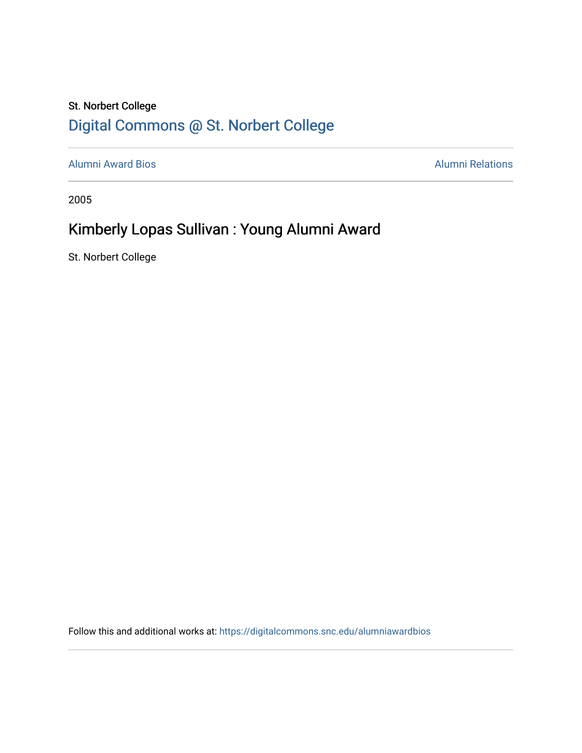### St. Norbert College [Digital Commons @ St. Norbert College](https://digitalcommons.snc.edu/)

[Alumni Award Bios](https://digitalcommons.snc.edu/alumniawardbios) **Alumni Relations** Alumni Relations

2005

# Kimberly Lopas Sullivan : Young Alumni Award

St. Norbert College

Follow this and additional works at: [https://digitalcommons.snc.edu/alumniawardbios](https://digitalcommons.snc.edu/alumniawardbios?utm_source=digitalcommons.snc.edu%2Falumniawardbios%2F20&utm_medium=PDF&utm_campaign=PDFCoverPages)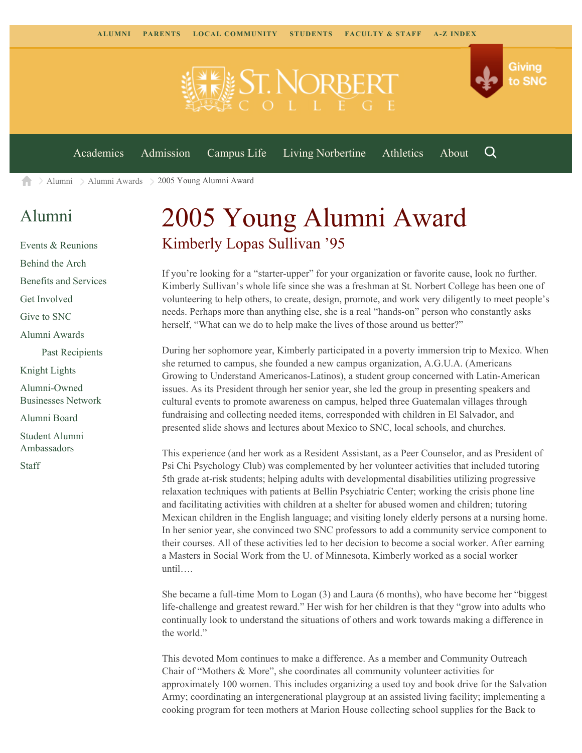

[Alumni](https://www.snc.edu/alumni/) [Alumni Awards](https://www.snc.edu/alumni/awards/) 2005 Young Alumni Award A

#### [Alumni](https://www.snc.edu/alumni/index.html)

[Events & Reunions](https://www.snc.edu/alumni/event/index.html) [Behind the Arch](https://www.snc.edu/alumni/event/behindthearch/) [Benefits and Services](https://www.snc.edu/alumni/benefits.html) [Get Involved](https://www.snc.edu/alumni/getinvolved.html) [Give to SNC](http://giving.snc.edu/) [Alumni Awards](https://www.snc.edu/alumni/awards/index.html) [Past Recipients](https://www.snc.edu/alumni/awards/recipients.html) [Knight Lights](https://www.snc.edu/alumni/knightlights/index.html) [Alumni-Owned](https://www.snc.edu/alumni/directory/index.html) [Businesses Network](https://www.snc.edu/alumni/directory/index.html) [Alumni Board](https://www.snc.edu/alumni/alumniboard.html) [Student Alumni](https://www.snc.edu/alumni/saa.html) [Ambassadors](https://www.snc.edu/alumni/saa.html) [Staff](https://www.snc.edu/alumni/contactus.html)

# 2005 Young Alumni Award Kimberly Lopas Sullivan '95

If you're looking for a "starter-upper" for your organization or favorite cause, look no further. Kimberly Sullivan's whole life since she was a freshman at St. Norbert College has been one of volunteering to help others, to create, design, promote, and work very diligently to meet people's needs. Perhaps more than anything else, she is a real "hands-on" person who constantly asks herself, "What can we do to help make the lives of those around us better?"

During her sophomore year, Kimberly participated in a poverty immersion trip to Mexico. When she returned to campus, she founded a new campus organization, A.G.U.A. (Americans Growing to Understand Americanos-Latinos), a student group concerned with Latin-American issues. As its President through her senior year, she led the group in presenting speakers and cultural events to promote awareness on campus, helped three Guatemalan villages through fundraising and collecting needed items, corresponded with children in El Salvador, and presented slide shows and lectures about Mexico to SNC, local schools, and churches.

This experience (and her work as a Resident Assistant, as a Peer Counselor, and as President of Psi Chi Psychology Club) was complemented by her volunteer activities that included tutoring 5th grade at-risk students; helping adults with developmental disabilities utilizing progressive relaxation techniques with patients at Bellin Psychiatric Center; working the crisis phone line and facilitating activities with children at a shelter for abused women and children; tutoring Mexican children in the English language; and visiting lonely elderly persons at a nursing home. In her senior year, she convinced two SNC professors to add a community service component to their courses. All of these activities led to her decision to become a social worker. After earning a Masters in Social Work from the U. of Minnesota, Kimberly worked as a social worker until….

She became a full-time Mom to Logan (3) and Laura (6 months), who have become her "biggest life-challenge and greatest reward." Her wish for her children is that they "grow into adults who continually look to understand the situations of others and work towards making a difference in the world."

This devoted Mom continues to make a difference. As a member and Community Outreach Chair of "Mothers & More", she coordinates all community volunteer activities for approximately 100 women. This includes organizing a used toy and book drive for the Salvation Army; coordinating an intergenerational playgroup at an assisted living facility; implementing a cooking program for teen mothers at Marion House collecting school supplies for the Back to